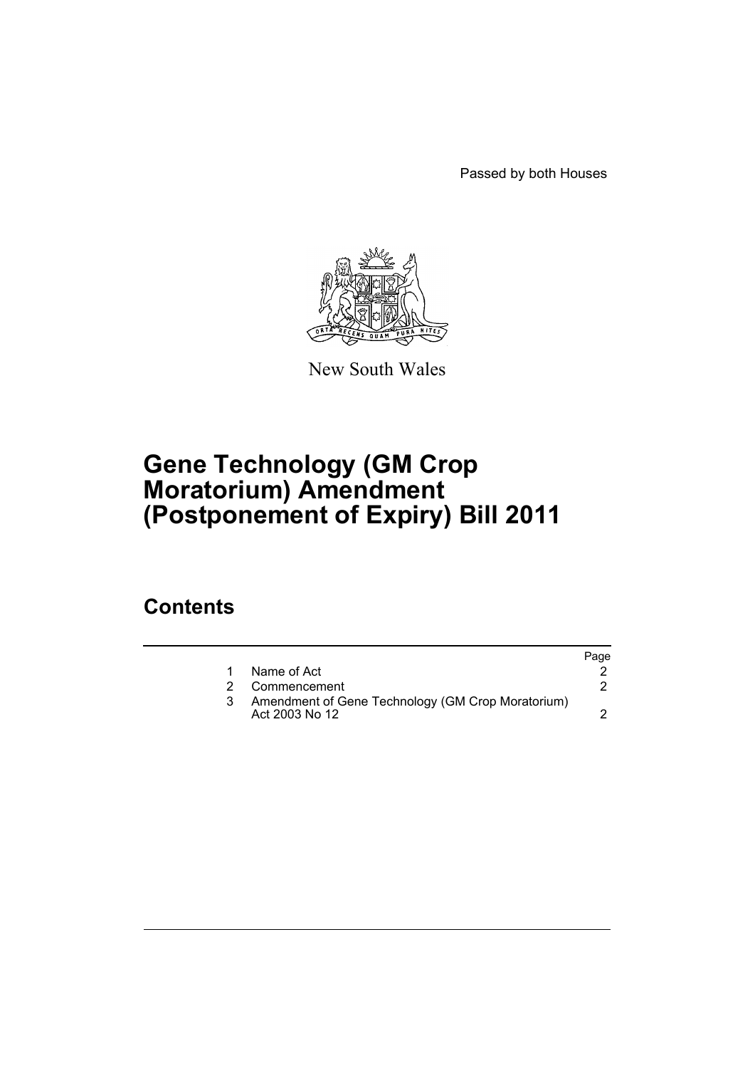Passed by both Houses



New South Wales

# **Gene Technology (GM Crop Moratorium) Amendment (Postponement of Expiry) Bill 2011**

### **Contents**

|                                                                     | Page |
|---------------------------------------------------------------------|------|
| Name of Act                                                         |      |
| Commencement                                                        |      |
| Amendment of Gene Technology (GM Crop Moratorium)<br>Act 2003 No 12 |      |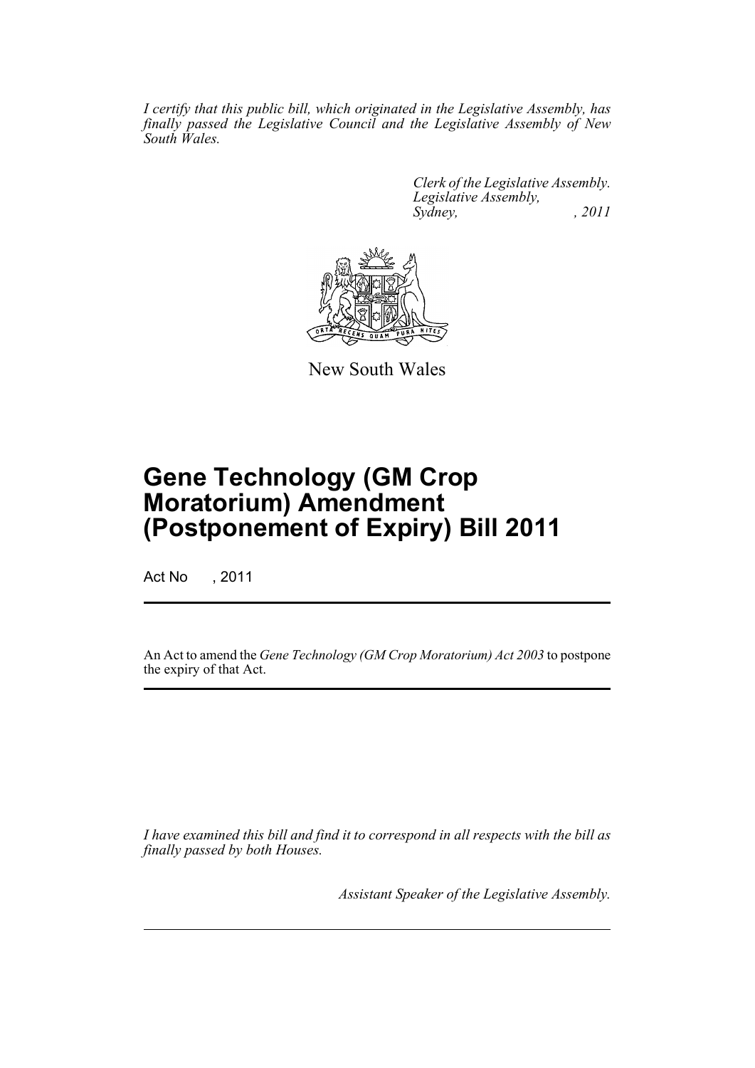*I certify that this public bill, which originated in the Legislative Assembly, has finally passed the Legislative Council and the Legislative Assembly of New South Wales.*

> *Clerk of the Legislative Assembly. Legislative Assembly, Sydney, , 2011*



New South Wales

## **Gene Technology (GM Crop Moratorium) Amendment (Postponement of Expiry) Bill 2011**

Act No , 2011

An Act to amend the *Gene Technology (GM Crop Moratorium) Act 2003* to postpone the expiry of that Act.

*I have examined this bill and find it to correspond in all respects with the bill as finally passed by both Houses.*

*Assistant Speaker of the Legislative Assembly.*